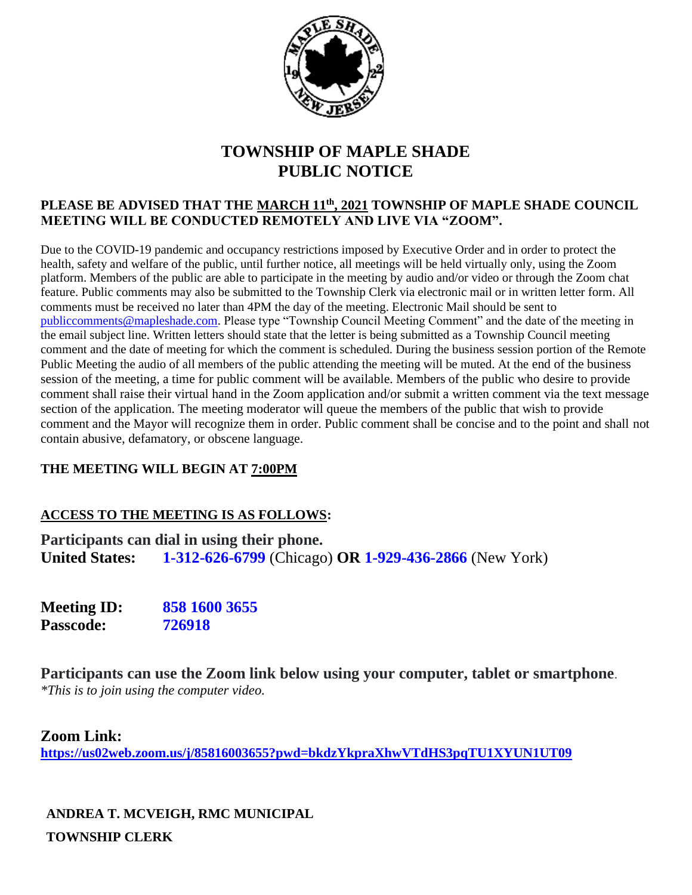

# **TOWNSHIP OF MAPLE SHADE PUBLIC NOTICE**

#### **PLEASE BE ADVISED THAT THE MARCH 11th, 2021 TOWNSHIP OF MAPLE SHADE COUNCIL MEETING WILL BE CONDUCTED REMOTELY AND LIVE VIA "ZOOM".**

Due to the COVID-19 pandemic and occupancy restrictions imposed by Executive Order and in order to protect the health, safety and welfare of the public, until further notice, all meetings will be held virtually only, using the Zoom platform. Members of the public are able to participate in the meeting by audio and/or video or through the Zoom chat feature. Public comments may also be submitted to the Township Clerk via electronic mail or in written letter form. All comments must be received no later than 4PM the day of the meeting. Electronic Mail should be sent to [publiccomments@mapleshade.com.](mailto:publiccomments@mapleshade.com) Please type "Township Council Meeting Comment" and the date of the meeting in the email subject line. Written letters should state that the letter is being submitted as a Township Council meeting comment and the date of meeting for which the comment is scheduled. During the business session portion of the Remote Public Meeting the audio of all members of the public attending the meeting will be muted. At the end of the business session of the meeting, a time for public comment will be available. Members of the public who desire to provide comment shall raise their virtual hand in the Zoom application and/or submit a written comment via the text message section of the application. The meeting moderator will queue the members of the public that wish to provide comment and the Mayor will recognize them in order. Public comment shall be concise and to the point and shall not contain abusive, defamatory, or obscene language.

### **THE MEETING WILL BEGIN AT 7:00PM**

### **ACCESS TO THE MEETING IS AS FOLLOWS:**

**Participants can dial in using their phone. United States: 1-312-626-6799** (Chicago) **OR 1-929-436-2866** (New York)

**Meeting ID: 858 1600 3655 Passcode: 726918**

**Participants can use the Zoom link below using your computer, tablet or smartphone**. *\*This is to join using the computer video.*

#### **Zoom Link:**

**<https://us02web.zoom.us/j/85816003655?pwd=bkdzYkpraXhwVTdHS3pqTU1XYUN1UT09>**

**ANDREA T. MCVEIGH, RMC MUNICIPAL TOWNSHIP CLERK**